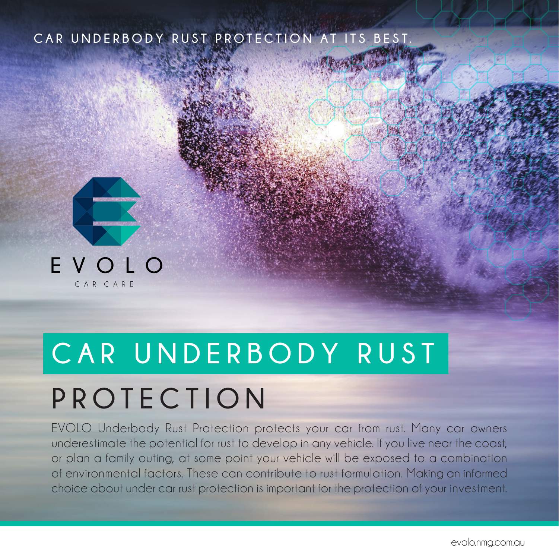#### CAR UNDERBODY RUST PROTECTION AT ITS



# CAR UNDERBODY RUST

# **PROTECTION**

EVOLO Underbody Rust Protection protects your car from rust. Many car owners underestimate the potential for rust to develop in any vehicle. If you live near the coast, or plan a family outing, at some point your vehicle will be exposed to a combination of environmental factors. These can contribute to rust formulation. Making an informed choice about under car rust protection is important for the protection of your investment.